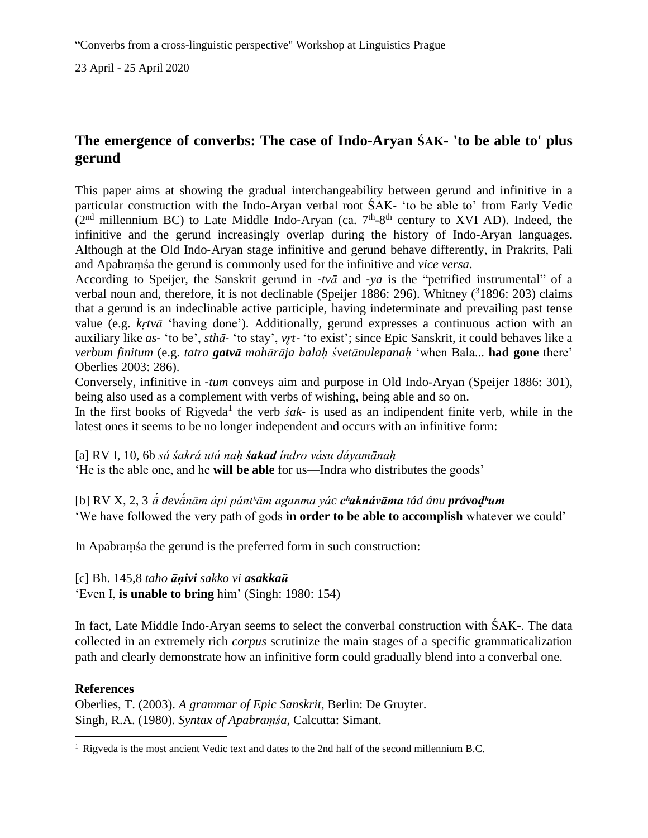23 April - 25 April 2020

## **The emergence of converbs: The case of Indo-Aryan ŚAK**‐ **'to be able to' plus gerund**

This paper aims at showing the gradual interchangeability between gerund and infinitive in a particular construction with the Indo-Aryan verbal root ŚAK‐ 'to be able to' from Early Vedic  $(2<sup>nd</sup>$  millennium BC) to Late Middle Indo-Aryan (ca.  $7<sup>th</sup>$ -8<sup>th</sup> century to XVI AD). Indeed, the infinitive and the gerund increasingly overlap during the history of Indo-Aryan languages. Although at the Old Indo‐Aryan stage infinitive and gerund behave differently, in Prakrits, Pali and Apabraṃśa the gerund is commonly used for the infinitive and *vice versa*.

According to Speijer, the Sanskrit gerund in ‐*tvā* and ‐*ya* is the "petrified instrumental" of a verbal noun and, therefore, it is not declinable (Speijer 1886: 296). Whitney  $(^{3}1896: 203)$  claims that a gerund is an indeclinable active participle, having indeterminate and prevailing past tense value (e.g. *kṛtvā* 'having done'). Additionally, gerund expresses a continuous action with an auxiliary like *as*‐ 'to be', *sthā*‐ 'to stay', *vr̥t*‐ 'to exist'; since Epic Sanskrit, it could behaves like a *verbum finitum* (e.g. *tatra gatvā mahārāja balaḥ śvetānulepanaḥ* 'when Bala... **had gone** there' Oberlies 2003: 286).

Conversely, infinitive in ‐*tum* conveys aim and purpose in Old Indo-Aryan (Speijer 1886: 301), being also used as a complement with verbs of wishing, being able and so on.

In the first books of Rigveda<sup>1</sup> the verb  $s'$ ak- is used as an indipendent finite verb, while in the latest ones it seems to be no longer independent and occurs with an infinitive form:

[a] RV I, 10, 6b *sá śakrá utá naḥ śakad índro vásu dáyamānaḥ*

'He is the able one, and he **will be able** for us—Indra who distributes the goods'

[b] RV X, 2, 3 *ā́ devā́nām ápi pántʰām aganma yác cʰaknávāma tád ánu právoḍʰum*  'We have followed the very path of gods **in order to be able to accomplish** whatever we could'

In Apabraṃśa the gerund is the preferred form in such construction:

## [c] Bh. 145,8 *taho āṇivi sakko vi asakkaü*

'Even I, **is unable to bring** him' (Singh: 1980: 154)

In fact, Late Middle Indo‐Aryan seems to select the converbal construction with ŚAK-. The data collected in an [extremely](https://www.collinsdictionary.com/it/dizionario/inglese-sinonimi/extremely) rich *corpus* scrutinize the main stages of a specific grammaticalization path and clearly demonstrate how an infinitive form could gradually blend into a converbal one.

## **References**

Oberlies, T. (2003). *A grammar of Epic Sanskrit*, Berlin: De Gruyter. Singh, R.A. (1980). *Syntax of Apabraṃśa*, Calcutta: Simant.

 $1$  Rigveda is the most ancient Vedic text and dates to the 2nd half of the second millennium B.C.